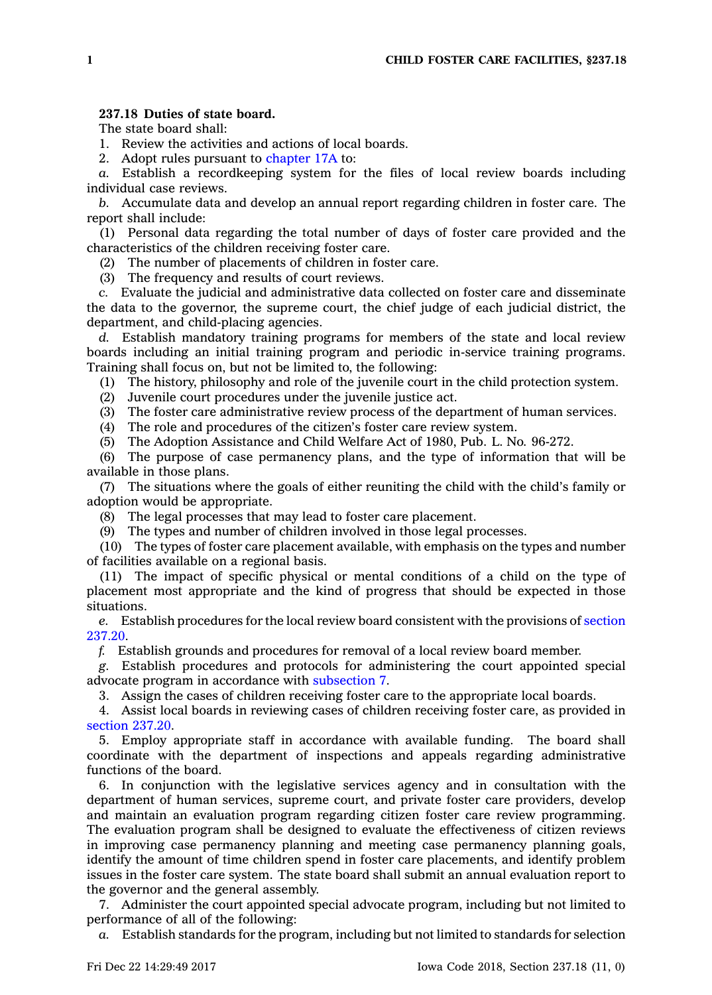## **237.18 Duties of state board.**

The state board shall:

1. Review the activities and actions of local boards.

2. Adopt rules pursuant to [chapter](https://www.legis.iowa.gov/docs/code//17A.pdf) 17A to:

*a.* Establish <sup>a</sup> recordkeeping system for the files of local review boards including individual case reviews.

*b.* Accumulate data and develop an annual report regarding children in foster care. The report shall include:

(1) Personal data regarding the total number of days of foster care provided and the characteristics of the children receiving foster care.

(2) The number of placements of children in foster care.

(3) The frequency and results of court reviews.

*c.* Evaluate the judicial and administrative data collected on foster care and disseminate the data to the governor, the supreme court, the chief judge of each judicial district, the department, and child-placing agencies.

*d.* Establish mandatory training programs for members of the state and local review boards including an initial training program and periodic in-service training programs. Training shall focus on, but not be limited to, the following:

(1) The history, philosophy and role of the juvenile court in the child protection system.

(2) Juvenile court procedures under the juvenile justice act.

(3) The foster care administrative review process of the department of human services.

(4) The role and procedures of the citizen's foster care review system.

(5) The Adoption Assistance and Child Welfare Act of 1980, Pub. L. No. 96-272.

(6) The purpose of case permanency plans, and the type of information that will be available in those plans.

(7) The situations where the goals of either reuniting the child with the child's family or adoption would be appropriate.

(8) The legal processes that may lead to foster care placement.

(9) The types and number of children involved in those legal processes.

(10) The types of foster care placement available, with emphasis on the types and number of facilities available on <sup>a</sup> regional basis.

(11) The impact of specific physical or mental conditions of <sup>a</sup> child on the type of placement most appropriate and the kind of progress that should be expected in those situations.

*e.* Establish procedures for the local review board consistent with the provisions of [section](https://www.legis.iowa.gov/docs/code/237.20.pdf) [237.20](https://www.legis.iowa.gov/docs/code/237.20.pdf).

*f.* Establish grounds and procedures for removal of <sup>a</sup> local review board member.

*g.* Establish procedures and protocols for administering the court appointed special advocate program in accordance with [subsection](https://www.legis.iowa.gov/docs/code/237.18.pdf) 7.

3. Assign the cases of children receiving foster care to the appropriate local boards.

4. Assist local boards in reviewing cases of children receiving foster care, as provided in [section](https://www.legis.iowa.gov/docs/code/237.20.pdf) 237.20.

5. Employ appropriate staff in accordance with available funding. The board shall coordinate with the department of inspections and appeals regarding administrative functions of the board.

6. In conjunction with the legislative services agency and in consultation with the department of human services, supreme court, and private foster care providers, develop and maintain an evaluation program regarding citizen foster care review programming. The evaluation program shall be designed to evaluate the effectiveness of citizen reviews in improving case permanency planning and meeting case permanency planning goals, identify the amount of time children spend in foster care placements, and identify problem issues in the foster care system. The state board shall submit an annual evaluation report to the governor and the general assembly.

7. Administer the court appointed special advocate program, including but not limited to performance of all of the following:

*a.* Establish standards for the program, including but not limited to standards for selection